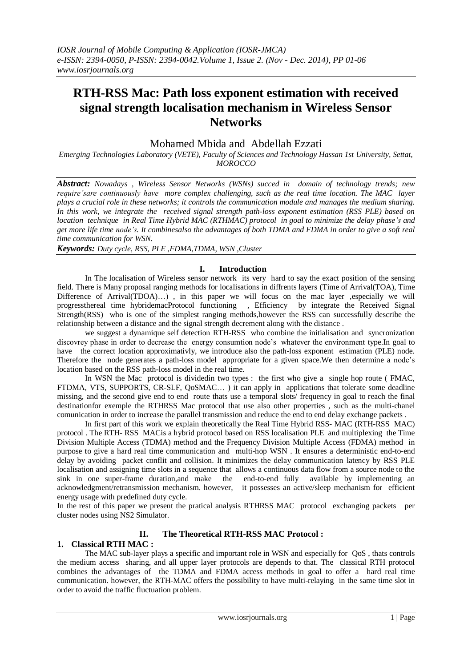# **RTH-RSS Mac: Path loss exponent estimation with received signal strength localisation mechanism in Wireless Sensor Networks**

## Mohamed Mbida and Abdellah Ezzati

*Emerging Technologies Laboratory (VETE), Faculty of Sciences and Technology Hassan 1st University, Settat, MOROCCO*

*Abstract: Nowadays , Wireless Sensor Networks (WSNs) succed in domain of technology trends; new require'sare continuously have more complex challenging, such as the real time location. The MAC layer plays a crucial role in these networks; it controls the communication module and manages the medium sharing. In this work, we integrate the received signal strength path-loss exponent estimation (RSS PLE) based on location technique in Real Time Hybrid MAC (RTHMAC) protocol in goal to minimize the delay phase's and get more life time node's. It combinesalso the advantages of both TDMA and FDMA in order to give a soft real time communication for WSN.*

*Keywords: Duty cycle, RSS, PLE ,FDMA,TDMA, WSN ,Cluster*

### **I. Introduction**

In The localisation of Wireless sensor network its very hard to say the exact position of the sensing field. There is Many proposal ranging methods for localisations in diffrents layers (Time of Arrival(TOA), Time Difference of Arrival(TDOA)...), in this paper we will focus on the mac layer , especially we will progressthereal time hybridemacProtocol functioning , Efficiency by integrate the Received Signal Strength(RSS) who is one of the simplest ranging methods, however the RSS can successfully describe the relationship between a distance and the signal strength decrement along with the distance .

we suggest a dynamique self detection RTH-RSS who combine the initialisation and syncronization discovrey phase in order to decrease the energy consumtion node's whatever the environment type.In goal to have the correct location approximativly, we introduce also the path-loss exponent estimation (PLE) node. Therefore the node generates a path-loss model appropriate for a given space.We then determine a node's location based on the RSS path-loss model in the real time.

In WSN the Mac protocol is divided two types : the first who give a single hop route (FMAC, FTDMA, VTS, SUPPORTS, CR-SLF, QoSMAC… ) it can apply in applications that tolerate some deadline missing, and the second give end to end route thats use a temporal slots/ frequency in goal to reach the final destinationfor exemple the RTHRSS Mac protocol that use also other properties , such as the multi-chanel comunication in order to increase the parallel transmission and reduce the end to end delay exchange packets .

In first part of this work we explain theoretically the Real Time Hybrid RSS- MAC (RTH-RSS MAC) protocol . The RTH- RSS MACis a hybrid protocol based on RSS localisation PLE and multiplexing the Time Division Multiple Access (TDMA) method and the Frequency Division Multiple Access (FDMA) method in purpose to give a hard real time communication and multi-hop WSN . It ensures a deterministic end-to-end delay by avoiding packet conflit and collision. It minimizes the delay communication latency by RSS PLE localisation and assigning time slots in a sequence that allows a continuous data flow from a source node to the sink in one super-frame duration,and make the end-to-end fully available by implementing an acknowledgment/retransmission mechanism. however, it possesses an active/sleep mechanism for efficient energy usage with predefined duty cycle.

In the rest of this paper we present the pratical analysis RTHRSS MAC protocol exchanging packets per cluster nodes using NS2 Simulator.

## **II. The Theoretical RTH-RSS MAC Protocol :**

## **1. Classical RTH MAC :**

The MAC sub-layer plays a specific and important role in WSN and especially for QoS , thats controls the medium access sharing, and all upper layer protocols are depends to that. The classical RTH protocol combines the advantages of the TDMA and FDMA access methods in goal to offer a hard real time communication. however, the RTH-MAC offers the possibility to have multi-relaying in the same time slot in order to avoid the traffic fluctuation problem.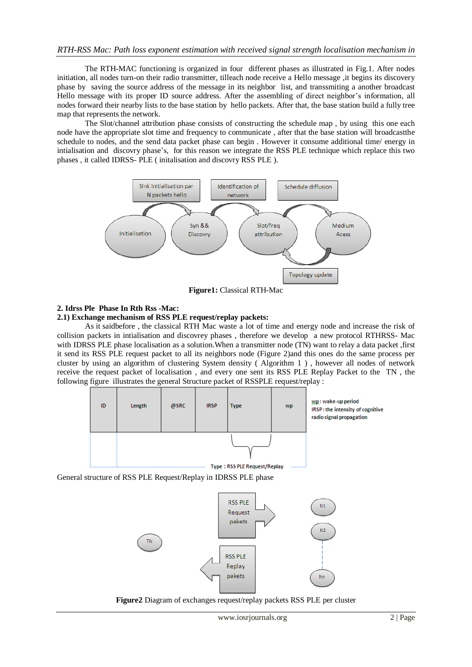The RTH-MAC functioning is organized in four different phases as illustrated in Fig.1. After nodes initiation, all nodes turn-on their radio transmitter, tilleach node receive a Hello message ,it begins its discovery phase by saving the source address of the message in its neighbor list, and transsmiting a another broadcast Hello message with its proper ID source address. After the assembling of direct neighbor's information, all nodes forward their nearby lists to the base station by hello packets. After that, the base station build a fully tree map that represents the network.

The Slot/channel attribution phase consists of constructing the schedule map , by using this one each node have the appropriate slot time and frequency to communicate , after that the base station will broadcastthe schedule to nodes, and the send data packet phase can begin . However it consume additional time/ energy in intialisation and discovry phase's, for this reason we integrate the RSS PLE technique which replace this two phases , it called IDRSS- PLE ( initalisation and discovry RSS PLE ).



**Figure1:** Classical RTH-Mac

### **2. Idrss Ple Phase In Rth Rss -Mac:**

### **2.1) Exchange mechanism of RSS PLE request/replay packets:**

As it saidbefore , the classical RTH Mac waste a lot of time and energy node and increase the risk of collision packets in intialisation and discovrey phases , therefore we develop a new protocol RTHRSS- Mac with IDRSS PLE phase localisation as a solution. When a transmitter node (TN) want to relay a data packet ,first it send its RSS PLE request packet to all its neighbors node (Figure 2)and this ones do the same process per cluster by using an algorithm of clustering System density ( Algorithm 1 ) , however all nodes of network receive the request packet of localisation , and every one sent its RSS PLE Replay Packet to the TN , the following figure illustrates the general Structure packet of RSSPLE request/replay :



General structure of RSS PLE Request/Replay in IDRSS PLE phase



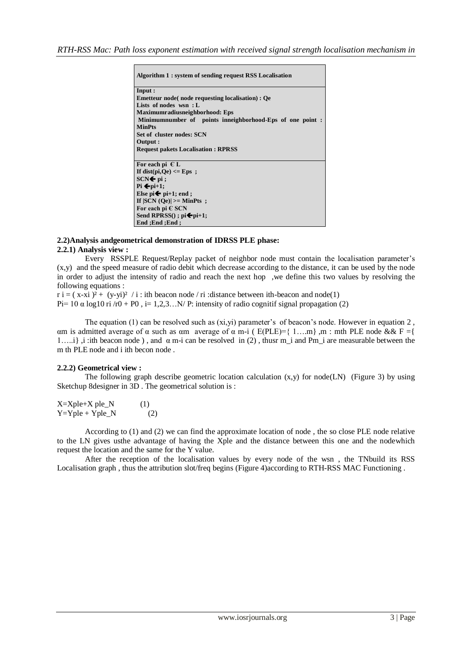| Algorithm 1: system of sending request RSS Localisation   |  |  |
|-----------------------------------------------------------|--|--|
| Input:                                                    |  |  |
| <b>Emetteur node</b> (node requesting localisation) : Qe  |  |  |
| Lists of nodes $wsn : L$                                  |  |  |
| Maximumradiusneighborhood: Eps                            |  |  |
| Minimumnumber of points inneighborhood-Eps of one point : |  |  |
| <b>MinPts</b>                                             |  |  |
| Set of cluster nodes: SCN                                 |  |  |
| Output :                                                  |  |  |
| <b>Request pakets Localisation: RPRSS</b>                 |  |  |
|                                                           |  |  |
|                                                           |  |  |
| For each pi $E$ L                                         |  |  |
| If dist(pi,Qe) $\leq$ Eps ;                               |  |  |
| $SCN \bigoplus pi$ ;                                      |  |  |
| $Pi \leftarrow DI+1$ ;                                    |  |  |
| Else pi $\blacktriangleright$ pi+1; end;                  |  |  |
| If $ SCN (Oe)  \geq MinPts$ ;                             |  |  |
| For each pi $E$ SCN                                       |  |  |
| Send RPRSS $()$ ; pi $\leftarrow$ pi+1;                   |  |  |

## **2.2)Analysis andgeometrical demonstration of IDRSS PLE phase:**

### **2.2.1) Analysis view :**

Every RSSPLE Request/Replay packet of neighbor node must contain the localisation parameter's (x,y) and the speed measure of radio debit which decrease according to the distance, it can be used by the node in order to adjust the intensity of radio and reach the next hop ,we define this two values by resolving the following equations :

 $r i = (x-xi)^2 + (y-yi)^2$  / i : ith beacon node / ri : distance between ith-beacon and node(1) Pi= 10  $\alpha$  log10 ri /r0 + P0, i= 1,2,3... N/ P: intensity of radio cognitif signal propagation (2)

The equation (1) can be resolved such as  $(xi, vi)$  parameter's of beacon's node. However in equation 2, αm is admitted average of α such as αm average of α m-i ( $E(PLE)=\{1,...m\}$ , m : mth PLE node && F ={ 1...i} ,i :ith beacon node ), and  $\alpha$  m-i can be resolved in (2), thusr m i and Pm i are measurable between the m th PLE node and i ith becon node .

### **2.2.2) Geometrical view :**

The following graph describe geometric location calculation  $(x,y)$  for node $(LN)$  (Figure 3) by using Sketchup 8designer in 3D . The geometrical solution is :

| $X = X$ ple+ $X$ ple_ $N$ | (1) |
|---------------------------|-----|
| $Y = Yple + Yple_N$       | (2) |

According to (1) and (2) we can find the approximate location of node , the so close PLE node relative to the LN gives usthe advantage of having the Xple and the distance between this one and the nodewhich request the location and the same for the Y value.

After the reception of the localisation values by every node of the wsn , the TNbuild its RSS Localisation graph , thus the attribution slot/freq begins (Figure 4)according to RTH-RSS MAC Functioning .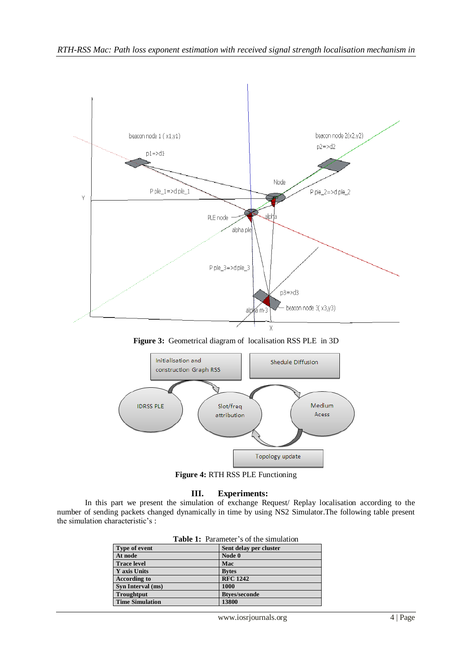

**Figure 3:** Geometrical diagram of localisation RSS PLE in 3D



**Figure 4:** RTH RSS PLE Functioning

## **III. Experiments:**

In this part we present the simulation of exchange Request/ Replay localisation according to the number of sending packets changed dynamically in time by using NS2 Simulator.The following table present the simulation characteristic's :

| <b>Table 1.</b> Farancer S of the simulation |                        |  |
|----------------------------------------------|------------------------|--|
| Type of event                                | Sent delay per cluster |  |
| At node                                      | Node 0                 |  |
| <b>Trace level</b>                           | Mac                    |  |
| Y axis Units                                 | <b>Bytes</b>           |  |
| <b>According to</b>                          | <b>RFC 1242</b>        |  |
| Syn Interval (ms)                            | 1000                   |  |
| Troughtput                                   | <b>Btyes/seconde</b>   |  |
| <b>Time Simulation</b>                       | 13800                  |  |

| <b>Table 1:</b> Parameter's of the simulation |  |
|-----------------------------------------------|--|
|                                               |  |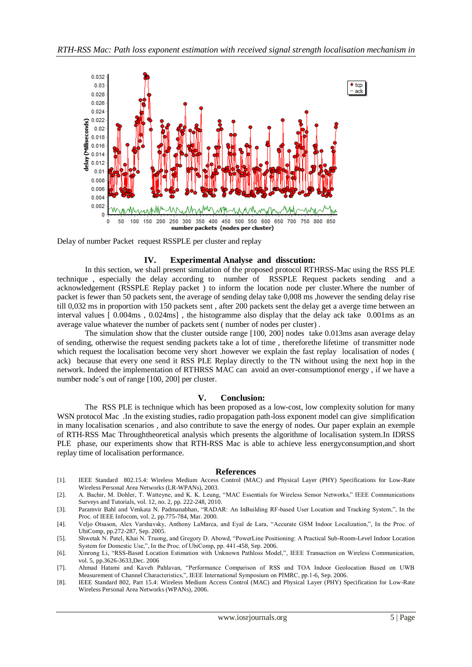

Delay of number Packet request RSSPLE per cluster and replay

### **IV. Experimental Analyse and disscution:**

In this section, we shall present simulation of the proposed protocol RTHRSS-Mac using the RSS PLE technique , especially the delay according to number of RSSPLE Request packets sending and a acknowledgement (RSSPLE Replay packet ) to inform the location node per cluster.Where the number of packet is fewer than 50 packets sent, the average of sending delay take 0,008 ms ,however the sending delay rise till 0,032 ms in proportion with 150 packets sent , after 200 packets sent the delay get a averge time between an interval values [ 0.004ms , 0.024ms] , the histogramme also display that the delay ack take 0.001ms as an average value whatever the number of packets sent ( number of nodes per cluster) .

The simulation show that the cluster outside range [100, 200] nodes take 0.013ms asan average delay of sending, otherwise the request sending packets take a lot of time , thereforethe lifetime of transmitter node which request the localisation become very short .however we explain the fast replay localisation of nodes ( ack) because that every one send it RSS PLE Replay directly to the TN without using the next hop in the network. Indeed the implementation of RTHRSS MAC can avoid an over-consumptionof energy , if we have a number node's out of range [100, 200] per cluster.

### **V. Conclusion:**

The RSS PLE is technique which has been proposed as a low-cost, low complexity solution for many WSN protocol Mac .In the existing studies, radio propagation path-loss exponent model can give simplification in many localisation scenarios , and also contribute to save the energy of nodes. Our paper explain an exemple of RTH-RSS Mac Throughtheoretical analysis which presents the algorithme of localisation system.In IDRSS PLE phase, our experiments show that RTH-RSS Mac is able to achieve less energyconsumption,and short replay time of localisation performance.

#### **References**

- [1]. IEEE Standard 802.15.4: Wireless Medium Access Control (MAC) and Physical Layer (PHY) Specifications for Low-Rate Wireless Personal Area Networks (LR-WPANs), 2003.
- [2]. A. Bachir, M. Dohler, T. Watteyne, and K. K. Leung, "MAC Essentials for Wireless Sensor Networks," IEEE Communications Surveys and Tutorials, vol. 12, no. 2, pp. 222-248, 2010.
- [3]. Paramvir Bahl and Venkata N. Padmanabhan, "RADAR: An InBuilding RF-based User Location and Tracking System,", In the Proc. of IEEE Infocom, vol. 2, pp.775-784, Mar. 2000.
- [4]. Veljo Otsason, Alex Varshavsky, Anthony LaMarca, and Eyal de Lara, "Accurate GSM Indoor Localization,", In the Proc. of UbiComp, pp.272-287, Sep. 2005.
- [5]. Shwetak N. Patel, Khai N. Truong, and Gregory D. Abowd, "PowerLine Positioning: A Practical Sub-Room-Level Indoor Location System for Domestic Use,", In the Proc. of UbiComp, pp. 441-458, Sep. 2006.
- [6]. Xinrong Li, "RSS-Based Location Estimation with Unknown Pathloss Model,", IEEE Transaction on Wireless Communication, vol. 5, pp.3626-3633,Dec. 2006
- [7]. Ahmad Hatami and Kaveh Pahlavan, "Performance Comparison of RSS and TOA Indoor Geolocation Based on UWB Measurement of Channel Characteristics,", IEEE International Symposium on PIMRC, pp.1-6, Sep. 2006.
- [8]. IEEE Standard 802, Part 15.4: Wireless Medium Access Control (MAC) and Physical Layer (PHY) Specification for Low-Rate Wireless Personal Area Networks (WPANs), 2006.